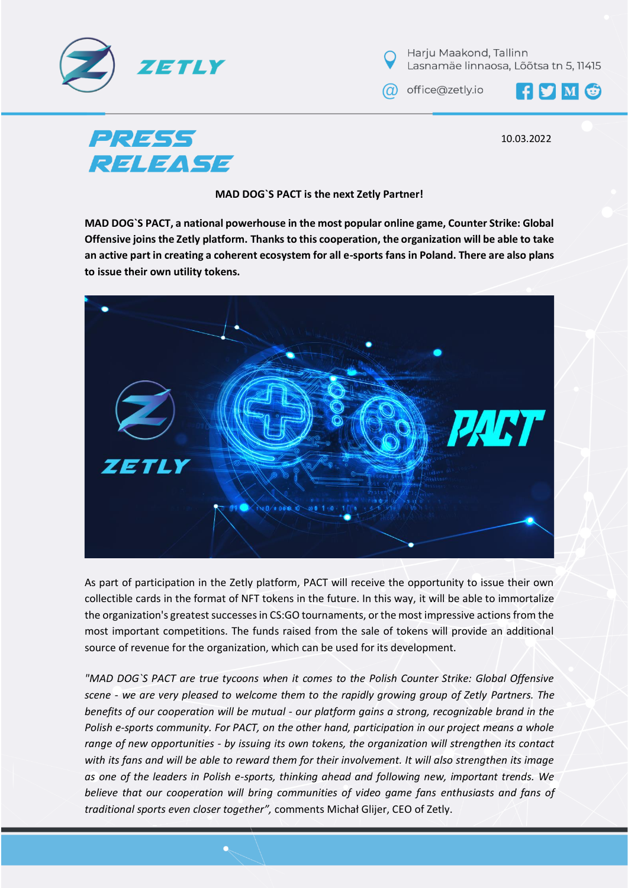



a office@zetly.io

FYMG

**PRESS RELEASE** 

10.03.2022

**MAD DOG`S PACT is the next Zetly Partner!**

**MAD DOG`S PACT, a national powerhouse in the most popular online game, Counter Strike: Global Offensive joins the Zetly platform. Thanks to this cooperation, the organization will be able to take an active part in creating a coherent ecosystem for all e-sports fans in Poland. There are also plans to issue their own utility tokens.** 



As part of participation in the Zetly platform, PACT will receive the opportunity to issue their own collectible cards in the format of NFT tokens in the future. In this way, it will be able to immortalize the organization's greatest successes in CS:GO tournaments, or the most impressive actions from the most important competitions. The funds raised from the sale of tokens will provide an additional source of revenue for the organization, which can be used for its development.

*"MAD DOG`S PACT are true tycoons when it comes to the Polish Counter Strike: Global Offensive scene - we are very pleased to welcome them to the rapidly growing group of Zetly Partners. The benefits of our cooperation will be mutual - our platform gains a strong, recognizable brand in the Polish e-sports community. For PACT, on the other hand, participation in our project means a whole range of new opportunities - by issuing its own tokens, the organization will strengthen its contact with its fans and will be able to reward them for their involvement. It will also strengthen its image as one of the leaders in Polish e-sports, thinking ahead and following new, important trends. We believe that our cooperation will bring communities of video game fans enthusiasts and fans of traditional sports even closer together",* comments Michał Glijer, CEO of Zetly.